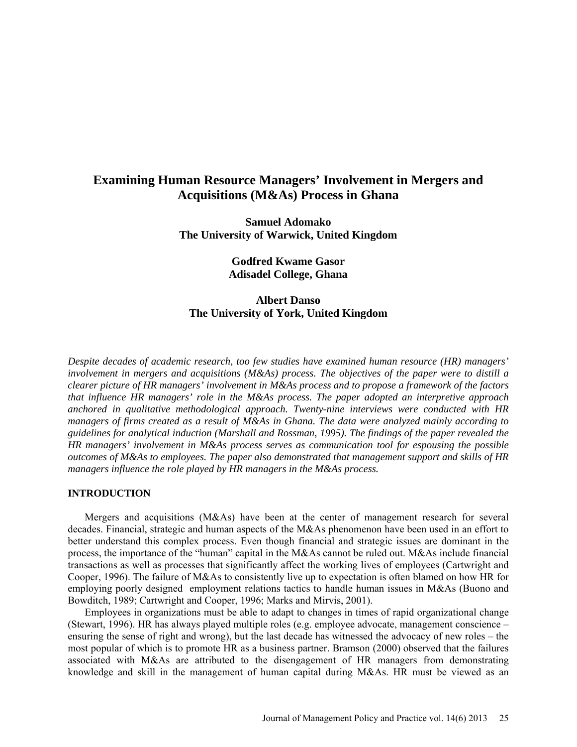# **Examining Human Resource Managers' Involvement in Mergers and Acquisitions (M&As) Process in Ghana**

**Samuel Adomako The University of Warwick, United Kingdom**

> **Godfred Kwame Gasor Adisadel College, Ghana**

# **Albert Danso The University of York, United Kingdom**

*Despite decades of academic research, too few studies have examined human resource (HR) managers' involvement in mergers and acquisitions (M&As) process. The objectives of the paper were to distill a clearer picture of HR managers' involvement in M&As process and to propose a framework of the factors that influence HR managers' role in the M&As process. The paper adopted an interpretive approach anchored in qualitative methodological approach. Twenty-nine interviews were conducted with HR managers of firms created as a result of M&As in Ghana. The data were analyzed mainly according to guidelines for analytical induction (Marshall and Rossman, 1995). The findings of the paper revealed the HR managers' involvement in M&As process serves as communication tool for espousing the possible outcomes of M&As to employees. The paper also demonstrated that management support and skills of HR managers influence the role played by HR managers in the M&As process.*

# **INTRODUCTION**

Mergers and acquisitions (M&As) have been at the center of management research for several decades. Financial, strategic and human aspects of the M&As phenomenon have been used in an effort to better understand this complex process. Even though financial and strategic issues are dominant in the process, the importance of the "human" capital in the M&As cannot be ruled out. M&As include financial transactions as well as processes that significantly affect the working lives of employees (Cartwright and Cooper, 1996). The failure of M&As to consistently live up to expectation is often blamed on how HR for employing poorly designed employment relations tactics to handle human issues in M&As (Buono and Bowditch, 1989; Cartwright and Cooper, 1996; Marks and Mirvis, 2001).

Employees in organizations must be able to adapt to changes in times of rapid organizational change (Stewart, 1996). HR has always played multiple roles (e.g. employee advocate, management conscience – ensuring the sense of right and wrong), but the last decade has witnessed the advocacy of new roles – the most popular of which is to promote HR as a business partner. Bramson (2000) observed that the failures associated with M&As are attributed to the disengagement of HR managers from demonstrating knowledge and skill in the management of human capital during M&As. HR must be viewed as an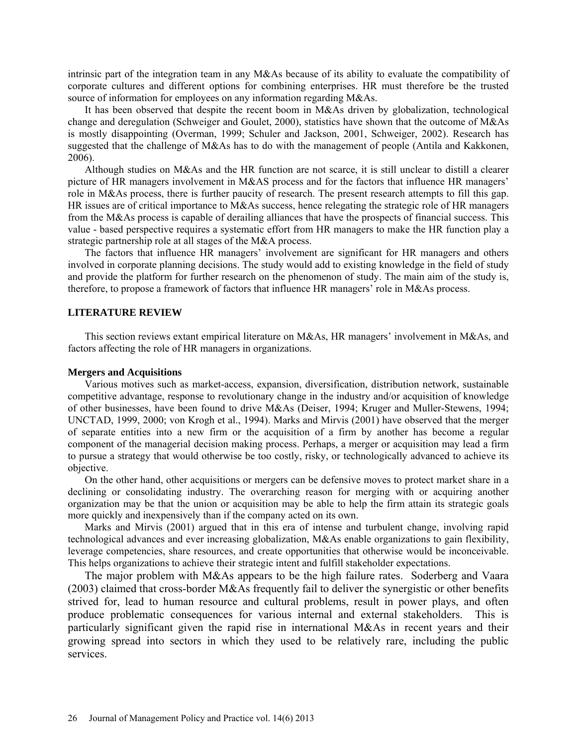intrinsic part of the integration team in any M&As because of its ability to evaluate the compatibility of corporate cultures and different options for combining enterprises. HR must therefore be the trusted source of information for employees on any information regarding M&As.

It has been observed that despite the recent boom in M&As driven by globalization, technological change and deregulation (Schweiger and Goulet, 2000), statistics have shown that the outcome of M&As is mostly disappointing (Overman, 1999; Schuler and Jackson, 2001, Schweiger, 2002). Research has suggested that the challenge of M&As has to do with the management of people (Antila and Kakkonen, 2006).

Although studies on M&As and the HR function are not scarce, it is still unclear to distill a clearer picture of HR managers involvement in M&AS process and for the factors that influence HR managers' role in M&As process, there is further paucity of research. The present research attempts to fill this gap. HR issues are of critical importance to M&As success, hence relegating the strategic role of HR managers from the M&As process is capable of derailing alliances that have the prospects of financial success. This value - based perspective requires a systematic effort from HR managers to make the HR function play a strategic partnership role at all stages of the M&A process.

The factors that influence HR managers' involvement are significant for HR managers and others involved in corporate planning decisions. The study would add to existing knowledge in the field of study and provide the platform for further research on the phenomenon of study. The main aim of the study is, therefore, to propose a framework of factors that influence HR managers' role in M&As process.

# **LITERATURE REVIEW**

This section reviews extant empirical literature on M&As, HR managers' involvement in M&As, and factors affecting the role of HR managers in organizations.

## **Mergers and Acquisitions**

Various motives such as market-access, expansion, diversification, distribution network, sustainable competitive advantage, response to revolutionary change in the industry and/or acquisition of knowledge of other businesses, have been found to drive M&As (Deiser, 1994; Kruger and Muller-Stewens, 1994; UNCTAD, 1999, 2000; von Krogh et al., 1994). Marks and Mirvis (2001) have observed that the merger of separate entities into a new firm or the acquisition of a firm by another has become a regular component of the managerial decision making process. Perhaps, a merger or acquisition may lead a firm to pursue a strategy that would otherwise be too costly, risky, or technologically advanced to achieve its objective.

On the other hand, other acquisitions or mergers can be defensive moves to protect market share in a declining or consolidating industry. The overarching reason for merging with or acquiring another organization may be that the union or acquisition may be able to help the firm attain its strategic goals more quickly and inexpensively than if the company acted on its own.

Marks and Mirvis (2001) argued that in this era of intense and turbulent change, involving rapid technological advances and ever increasing globalization, M&As enable organizations to gain flexibility, leverage competencies, share resources, and create opportunities that otherwise would be inconceivable. This helps organizations to achieve their strategic intent and fulfill stakeholder expectations.

The major problem with M&As appears to be the high failure rates. Soderberg and Vaara (2003) claimed that cross-border M&As frequently fail to deliver the synergistic or other benefits strived for, lead to human resource and cultural problems, result in power plays, and often produce problematic consequences for various internal and external stakeholders. This is particularly significant given the rapid rise in international M&As in recent years and their growing spread into sectors in which they used to be relatively rare, including the public services.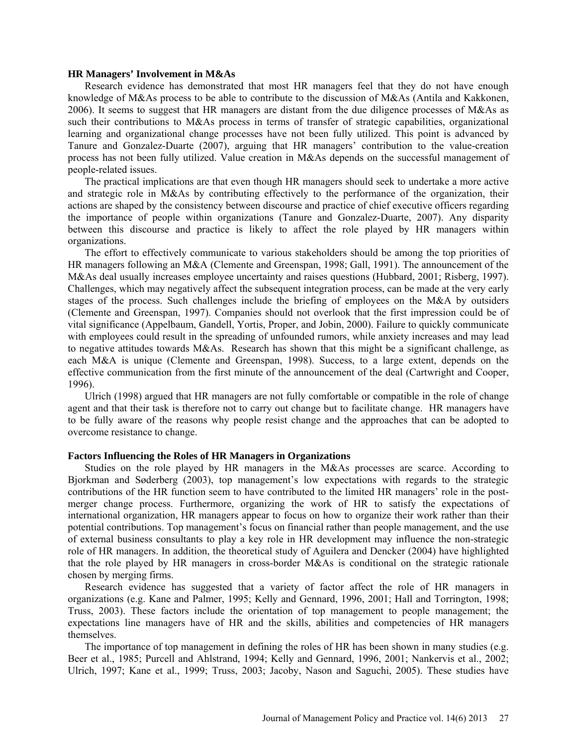## **HR Managers' Involvement in M&As**

Research evidence has demonstrated that most HR managers feel that they do not have enough knowledge of M&As process to be able to contribute to the discussion of M&As (Antila and Kakkonen, 2006). It seems to suggest that HR managers are distant from the due diligence processes of M&As as such their contributions to M&As process in terms of transfer of strategic capabilities, organizational learning and organizational change processes have not been fully utilized. This point is advanced by Tanure and Gonzalez-Duarte (2007), arguing that HR managers' contribution to the value-creation process has not been fully utilized. Value creation in M&As depends on the successful management of people-related issues.

The practical implications are that even though HR managers should seek to undertake a more active and strategic role in M&As by contributing effectively to the performance of the organization, their actions are shaped by the consistency between discourse and practice of chief executive officers regarding the importance of people within organizations (Tanure and Gonzalez-Duarte, 2007). Any disparity between this discourse and practice is likely to affect the role played by HR managers within organizations.

The effort to effectively communicate to various stakeholders should be among the top priorities of HR managers following an M&A (Clemente and Greenspan, 1998; Gall, 1991). The announcement of the M&As deal usually increases employee uncertainty and raises questions (Hubbard, 2001; Risberg, 1997). Challenges, which may negatively affect the subsequent integration process, can be made at the very early stages of the process. Such challenges include the briefing of employees on the M&A by outsiders (Clemente and Greenspan, 1997). Companies should not overlook that the first impression could be of vital significance (Appelbaum, Gandell, Yortis, Proper, and Jobin, 2000). Failure to quickly communicate with employees could result in the spreading of unfounded rumors, while anxiety increases and may lead to negative attitudes towards M&As. Research has shown that this might be a significant challenge, as each M&A is unique (Clemente and Greenspan, 1998). Success, to a large extent, depends on the effective communication from the first minute of the announcement of the deal (Cartwright and Cooper, 1996).

Ulrich (1998) argued that HR managers are not fully comfortable or compatible in the role of change agent and that their task is therefore not to carry out change but to facilitate change. HR managers have to be fully aware of the reasons why people resist change and the approaches that can be adopted to overcome resistance to change.

## **Factors Influencing the Roles of HR Managers in Organizations**

Studies on the role played by HR managers in the M&As processes are scarce. According to Bjorkman and Søderberg (2003), top management's low expectations with regards to the strategic contributions of the HR function seem to have contributed to the limited HR managers' role in the postmerger change process. Furthermore, organizing the work of HR to satisfy the expectations of international organization, HR managers appear to focus on how to organize their work rather than their potential contributions. Top management's focus on financial rather than people management, and the use of external business consultants to play a key role in HR development may influence the non-strategic role of HR managers. In addition, the theoretical study of Aguilera and Dencker (2004) have highlighted that the role played by HR managers in cross-border M&As is conditional on the strategic rationale chosen by merging firms.

Research evidence has suggested that a variety of factor affect the role of HR managers in organizations (e.g. Kane and Palmer, 1995; Kelly and Gennard, 1996, 2001; Hall and Torrington, 1998; Truss, 2003). These factors include the orientation of top management to people management; the expectations line managers have of HR and the skills, abilities and competencies of HR managers themselves.

The importance of top management in defining the roles of HR has been shown in many studies (e.g. Beer et al., 1985; Purcell and Ahlstrand, 1994; Kelly and Gennard, 1996, 2001; Nankervis et al., 2002; Ulrich, 1997; Kane et al., 1999; Truss, 2003; Jacoby, Nason and Saguchi, 2005). These studies have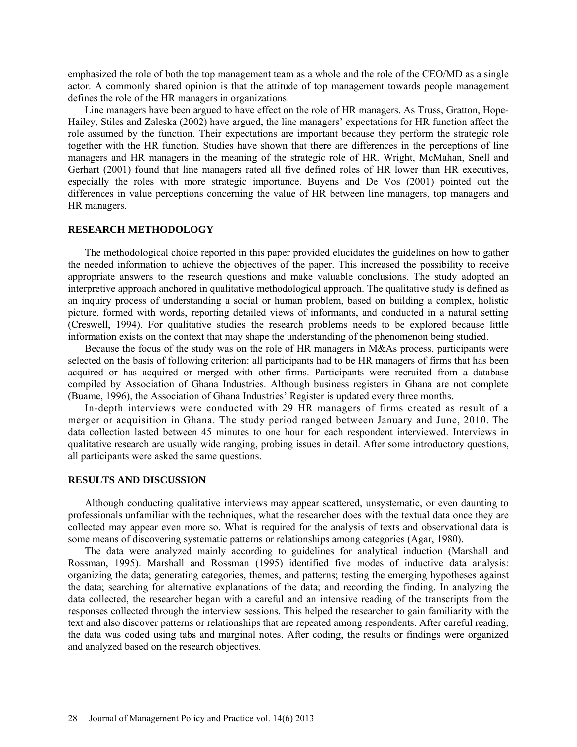emphasized the role of both the top management team as a whole and the role of the CEO/MD as a single actor. A commonly shared opinion is that the attitude of top management towards people management defines the role of the HR managers in organizations.

Line managers have been argued to have effect on the role of HR managers. As Truss, Gratton, Hope-Hailey, Stiles and Zaleska (2002) have argued, the line managers' expectations for HR function affect the role assumed by the function. Their expectations are important because they perform the strategic role together with the HR function. Studies have shown that there are differences in the perceptions of line managers and HR managers in the meaning of the strategic role of HR. Wright, McMahan, Snell and Gerhart (2001) found that line managers rated all five defined roles of HR lower than HR executives, especially the roles with more strategic importance. Buyens and De Vos (2001) pointed out the differences in value perceptions concerning the value of HR between line managers, top managers and HR managers.

## **RESEARCH METHODOLOGY**

The methodological choice reported in this paper provided elucidates the guidelines on how to gather the needed information to achieve the objectives of the paper. This increased the possibility to receive appropriate answers to the research questions and make valuable conclusions. The study adopted an interpretive approach anchored in qualitative methodological approach. The qualitative study is defined as an inquiry process of understanding a social or human problem, based on building a complex, holistic picture, formed with words, reporting detailed views of informants, and conducted in a natural setting (Creswell, 1994). For qualitative studies the research problems needs to be explored because little information exists on the context that may shape the understanding of the phenomenon being studied.

Because the focus of the study was on the role of HR managers in M&As process, participants were selected on the basis of following criterion: all participants had to be HR managers of firms that has been acquired or has acquired or merged with other firms. Participants were recruited from a database compiled by Association of Ghana Industries. Although business registers in Ghana are not complete (Buame, 1996), the Association of Ghana Industries' Register is updated every three months.

In-depth interviews were conducted with 29 HR managers of firms created as result of a merger or acquisition in Ghana. The study period ranged between January and June, 2010. The data collection lasted between 45 minutes to one hour for each respondent interviewed. Interviews in qualitative research are usually wide ranging, probing issues in detail. After some introductory questions, all participants were asked the same questions.

## **RESULTS AND DISCUSSION**

Although conducting qualitative interviews may appear scattered, unsystematic, or even daunting to professionals unfamiliar with the techniques, what the researcher does with the textual data once they are collected may appear even more so. What is required for the analysis of texts and observational data is some means of discovering systematic patterns or relationships among categories (Agar, 1980).

The data were analyzed mainly according to guidelines for analytical induction (Marshall and Rossman, 1995). Marshall and Rossman (1995) identified five modes of inductive data analysis: organizing the data; generating categories, themes, and patterns; testing the emerging hypotheses against the data; searching for alternative explanations of the data; and recording the finding. In analyzing the data collected, the researcher began with a careful and an intensive reading of the transcripts from the responses collected through the interview sessions. This helped the researcher to gain familiarity with the text and also discover patterns or relationships that are repeated among respondents. After careful reading, the data was coded using tabs and marginal notes. After coding, the results or findings were organized and analyzed based on the research objectives.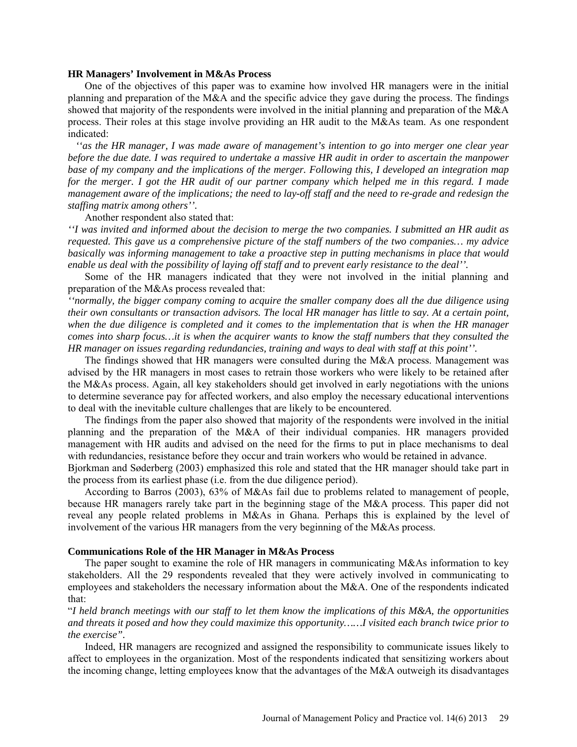## **HR Managers' Involvement in M&As Process**

One of the objectives of this paper was to examine how involved HR managers were in the initial planning and preparation of the M&A and the specific advice they gave during the process. The findings showed that majority of the respondents were involved in the initial planning and preparation of the M&A process. Their roles at this stage involve providing an HR audit to the M&As team. As one respondent indicated:

 *''as the HR manager, I was made aware of management's intention to go into merger one clear year before the due date. I was required to undertake a massive HR audit in order to ascertain the manpower base of my company and the implications of the merger. Following this, I developed an integration map for the merger. I got the HR audit of our partner company which helped me in this regard. I made management aware of the implications; the need to lay-off staff and the need to re-grade and redesign the staffing matrix among others''.* 

## Another respondent also stated that:

*''I was invited and informed about the decision to merge the two companies. I submitted an HR audit as requested. This gave us a comprehensive picture of the staff numbers of the two companies… my advice basically was informing management to take a proactive step in putting mechanisms in place that would enable us deal with the possibility of laying off staff and to prevent early resistance to the deal''.*

Some of the HR managers indicated that they were not involved in the initial planning and preparation of the M&As process revealed that:

*''normally, the bigger company coming to acquire the smaller company does all the due diligence using their own consultants or transaction advisors. The local HR manager has little to say. At a certain point, when the due diligence is completed and it comes to the implementation that is when the HR manager comes into sharp focus…it is when the acquirer wants to know the staff numbers that they consulted the HR manager on issues regarding redundancies, training and ways to deal with staff at this point''.* 

The findings showed that HR managers were consulted during the M&A process. Management was advised by the HR managers in most cases to retrain those workers who were likely to be retained after the M&As process. Again, all key stakeholders should get involved in early negotiations with the unions to determine severance pay for affected workers, and also employ the necessary educational interventions to deal with the inevitable culture challenges that are likely to be encountered.

The findings from the paper also showed that majority of the respondents were involved in the initial planning and the preparation of the M&A of their individual companies. HR managers provided management with HR audits and advised on the need for the firms to put in place mechanisms to deal with redundancies, resistance before they occur and train workers who would be retained in advance.

Bjorkman and Søderberg (2003) emphasized this role and stated that the HR manager should take part in the process from its earliest phase (i.e. from the due diligence period).

According to Barros (2003), 63% of M&As fail due to problems related to management of people, because HR managers rarely take part in the beginning stage of the M&A process. This paper did not reveal any people related problems in M&As in Ghana. Perhaps this is explained by the level of involvement of the various HR managers from the very beginning of the M&As process.

## **Communications Role of the HR Manager in M&As Process**

The paper sought to examine the role of HR managers in communicating M&As information to key stakeholders. All the 29 respondents revealed that they were actively involved in communicating to employees and stakeholders the necessary information about the M&A. One of the respondents indicated that:

"*I held branch meetings with our staff to let them know the implications of this M&A, the opportunities and threats it posed and how they could maximize this opportunity……I visited each branch twice prior to the exercise".*

Indeed, HR managers are recognized and assigned the responsibility to communicate issues likely to affect to employees in the organization. Most of the respondents indicated that sensitizing workers about the incoming change, letting employees know that the advantages of the M&A outweigh its disadvantages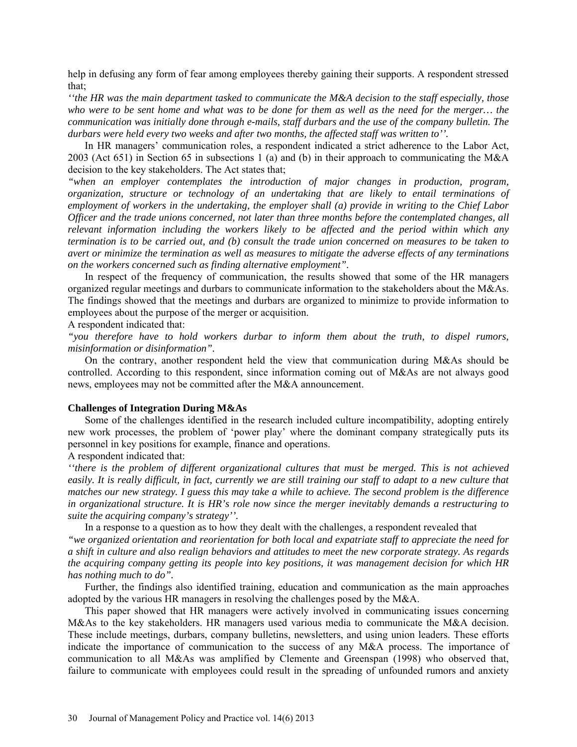help in defusing any form of fear among employees thereby gaining their supports. A respondent stressed that;

*''the HR was the main department tasked to communicate the M&A decision to the staff especially, those who were to be sent home and what was to be done for them as well as the need for the merger… the communication was initially done through e-mails, staff durbars and the use of the company bulletin. The durbars were held every two weeks and after two months, the affected staff was written to''.*

In HR managers' communication roles, a respondent indicated a strict adherence to the Labor Act, 2003 (Act 651) in Section 65 in subsections 1 (a) and (b) in their approach to communicating the M&A decision to the key stakeholders. The Act states that;

*"when an employer contemplates the introduction of major changes in production, program, organization, structure or technology of an undertaking that are likely to entail terminations of employment of workers in the undertaking, the employer shall (a) provide in writing to the Chief Labor Officer and the trade unions concerned, not later than three months before the contemplated changes, all relevant information including the workers likely to be affected and the period within which any termination is to be carried out, and (b) consult the trade union concerned on measures to be taken to avert or minimize the termination as well as measures to mitigate the adverse effects of any terminations on the workers concerned such as finding alternative employment".* 

In respect of the frequency of communication, the results showed that some of the HR managers organized regular meetings and durbars to communicate information to the stakeholders about the M&As. The findings showed that the meetings and durbars are organized to minimize to provide information to employees about the purpose of the merger or acquisition.

## A respondent indicated that:

*"you therefore have to hold workers durbar to inform them about the truth, to dispel rumors, misinformation or disinformation".*

On the contrary, another respondent held the view that communication during M&As should be controlled. According to this respondent, since information coming out of M&As are not always good news, employees may not be committed after the M&A announcement.

## **Challenges of Integration During M&As**

Some of the challenges identified in the research included culture incompatibility, adopting entirely new work processes, the problem of 'power play' where the dominant company strategically puts its personnel in key positions for example, finance and operations.

## A respondent indicated that:

*''there is the problem of different organizational cultures that must be merged. This is not achieved easily. It is really difficult, in fact, currently we are still training our staff to adapt to a new culture that matches our new strategy. I guess this may take a while to achieve. The second problem is the difference in organizational structure. It is HR's role now since the merger inevitably demands a restructuring to suite the acquiring company's strategy''.*

In a response to a question as to how they dealt with the challenges, a respondent revealed that *"we organized orientation and reorientation for both local and expatriate staff to appreciate the need for a shift in culture and also realign behaviors and attitudes to meet the new corporate strategy. As regards the acquiring company getting its people into key positions, it was management decision for which HR has nothing much to do".*

Further, the findings also identified training, education and communication as the main approaches adopted by the various HR managers in resolving the challenges posed by the M&A.

This paper showed that HR managers were actively involved in communicating issues concerning M&As to the key stakeholders. HR managers used various media to communicate the M&A decision. These include meetings, durbars, company bulletins, newsletters, and using union leaders. These efforts indicate the importance of communication to the success of any M&A process. The importance of communication to all M&As was amplified by Clemente and Greenspan (1998) who observed that, failure to communicate with employees could result in the spreading of unfounded rumors and anxiety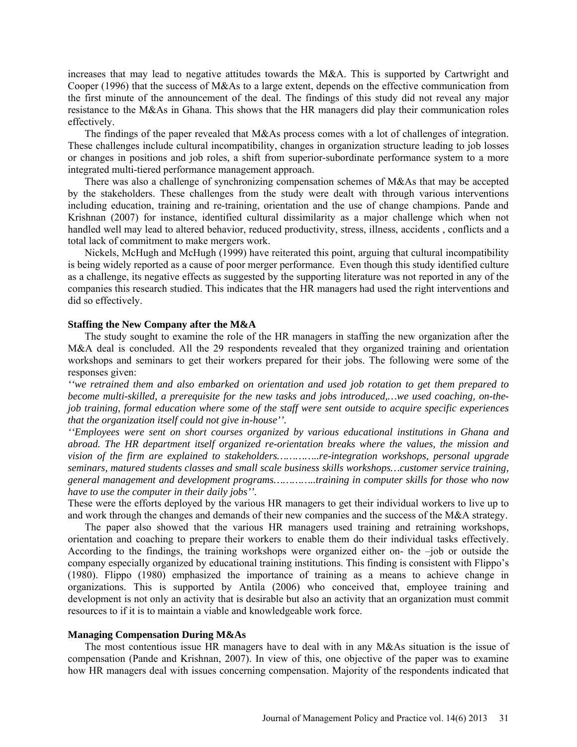increases that may lead to negative attitudes towards the M&A. This is supported by Cartwright and Cooper (1996) that the success of M&As to a large extent, depends on the effective communication from the first minute of the announcement of the deal. The findings of this study did not reveal any major resistance to the M&As in Ghana. This shows that the HR managers did play their communication roles effectively.

The findings of the paper revealed that M&As process comes with a lot of challenges of integration. These challenges include cultural incompatibility, changes in organization structure leading to job losses or changes in positions and job roles, a shift from superior-subordinate performance system to a more integrated multi-tiered performance management approach.

There was also a challenge of synchronizing compensation schemes of M&As that may be accepted by the stakeholders. These challenges from the study were dealt with through various interventions including education, training and re-training, orientation and the use of change champions. Pande and Krishnan (2007) for instance, identified cultural dissimilarity as a major challenge which when not handled well may lead to altered behavior, reduced productivity, stress, illness, accidents , conflicts and a total lack of commitment to make mergers work.

Nickels, McHugh and McHugh (1999) have reiterated this point, arguing that cultural incompatibility is being widely reported as a cause of poor merger performance. Even though this study identified culture as a challenge, its negative effects as suggested by the supporting literature was not reported in any of the companies this research studied. This indicates that the HR managers had used the right interventions and did so effectively.

## **Staffing the New Company after the M&A**

The study sought to examine the role of the HR managers in staffing the new organization after the M&A deal is concluded. All the 29 respondents revealed that they organized training and orientation workshops and seminars to get their workers prepared for their jobs. The following were some of the responses given:

*''we retrained them and also embarked on orientation and used job rotation to get them prepared to become multi-skilled, a prerequisite for the new tasks and jobs introduced,…we used coaching, on-thejob training, formal education where some of the staff were sent outside to acquire specific experiences that the organization itself could not give in-house''.*

*''Employees were sent on short courses organized by various educational institutions in Ghana and abroad. The HR department itself organized re-orientation breaks where the values, the mission and vision of the firm are explained to stakeholders…………..re-integration workshops, personal upgrade seminars, matured students classes and small scale business skills workshops…customer service training, general management and development programs…………..training in computer skills for those who now have to use the computer in their daily jobs''.* 

These were the efforts deployed by the various HR managers to get their individual workers to live up to and work through the changes and demands of their new companies and the success of the M&A strategy.

The paper also showed that the various HR managers used training and retraining workshops, orientation and coaching to prepare their workers to enable them do their individual tasks effectively. According to the findings, the training workshops were organized either on- the –job or outside the company especially organized by educational training institutions. This finding is consistent with Flippo's (1980). Flippo (1980) emphasized the importance of training as a means to achieve change in organizations. This is supported by Antila (2006) who conceived that, employee training and development is not only an activity that is desirable but also an activity that an organization must commit resources to if it is to maintain a viable and knowledgeable work force.

## **Managing Compensation During M&As**

The most contentious issue HR managers have to deal with in any M&As situation is the issue of compensation (Pande and Krishnan, 2007). In view of this, one objective of the paper was to examine how HR managers deal with issues concerning compensation. Majority of the respondents indicated that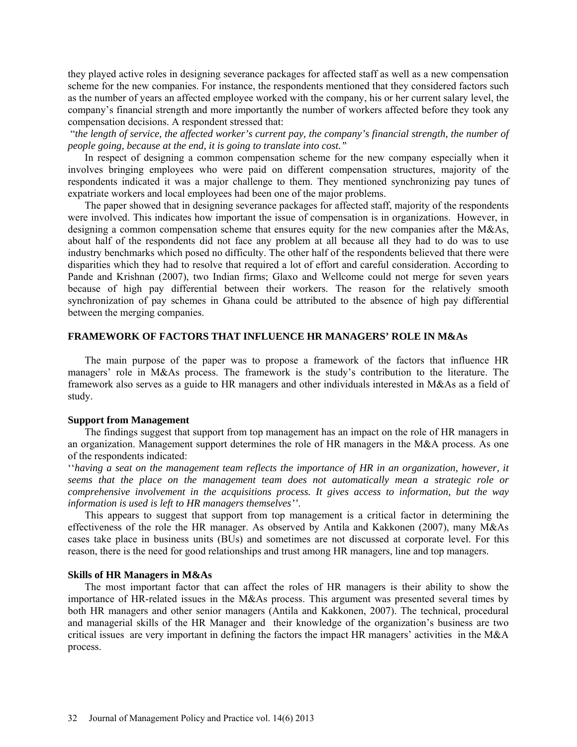they played active roles in designing severance packages for affected staff as well as a new compensation scheme for the new companies. For instance, the respondents mentioned that they considered factors such as the number of years an affected employee worked with the company, his or her current salary level, the company's financial strength and more importantly the number of workers affected before they took any compensation decisions. A respondent stressed that:

 "*the length of service, the affected worker's current pay, the company's financial strength, the number of people going, because at the end, it is going to translate into cost."* 

In respect of designing a common compensation scheme for the new company especially when it involves bringing employees who were paid on different compensation structures, majority of the respondents indicated it was a major challenge to them. They mentioned synchronizing pay tunes of expatriate workers and local employees had been one of the major problems.

The paper showed that in designing severance packages for affected staff, majority of the respondents were involved. This indicates how important the issue of compensation is in organizations. However, in designing a common compensation scheme that ensures equity for the new companies after the M&As, about half of the respondents did not face any problem at all because all they had to do was to use industry benchmarks which posed no difficulty. The other half of the respondents believed that there were disparities which they had to resolve that required a lot of effort and careful consideration. According to Pande and Krishnan (2007), two Indian firms; Glaxo and Wellcome could not merge for seven years because of high pay differential between their workers. The reason for the relatively smooth synchronization of pay schemes in Ghana could be attributed to the absence of high pay differential between the merging companies.

# **FRAMEWORK OF FACTORS THAT INFLUENCE HR MANAGERS' ROLE IN M&As**

The main purpose of the paper was to propose a framework of the factors that influence HR managers' role in M&As process. The framework is the study's contribution to the literature. The framework also serves as a guide to HR managers and other individuals interested in M&As as a field of study.

## **Support from Management**

The findings suggest that support from top management has an impact on the role of HR managers in an organization. Management support determines the role of HR managers in the M&A process. As one of the respondents indicated:

''*having a seat on the management team reflects the importance of HR in an organization, however, it seems that the place on the management team does not automatically mean a strategic role or comprehensive involvement in the acquisitions process. It gives access to information, but the way information is used is left to HR managers themselves''*.

This appears to suggest that support from top management is a critical factor in determining the effectiveness of the role the HR manager. As observed by Antila and Kakkonen (2007), many M&As cases take place in business units (BUs) and sometimes are not discussed at corporate level. For this reason, there is the need for good relationships and trust among HR managers, line and top managers.

## **Skills of HR Managers in M&As**

The most important factor that can affect the roles of HR managers is their ability to show the importance of HR-related issues in the M&As process. This argument was presented several times by both HR managers and other senior managers (Antila and Kakkonen, 2007). The technical, procedural and managerial skills of the HR Manager and their knowledge of the organization's business are two critical issues are very important in defining the factors the impact HR managers' activities in the M&A process.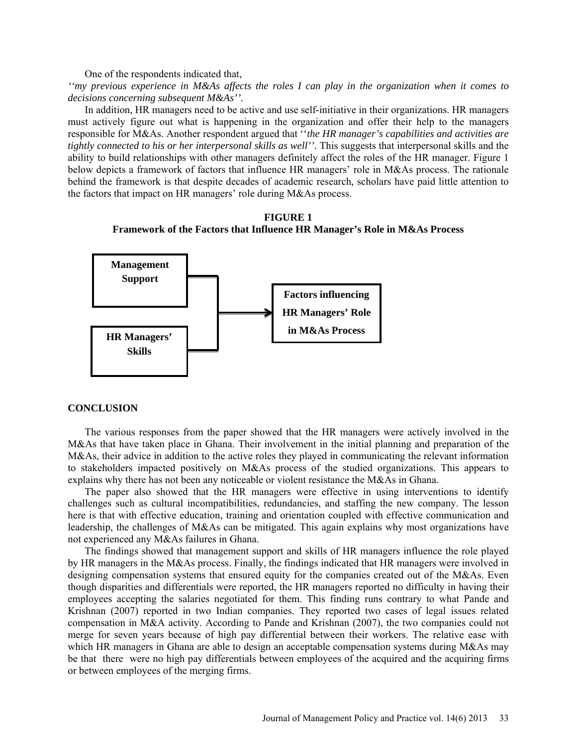One of the respondents indicated that,

*''my previous experience in M&As affects the roles I can play in the organization when it comes to decisions concerning subsequent M&As''.*

In addition, HR managers need to be active and use self-initiative in their organizations. HR managers must actively figure out what is happening in the organization and offer their help to the managers responsible for M&As. Another respondent argued that ''*the HR manager's capabilities and activities are tightly connected to his or her interpersonal skills as well''*. This suggests that interpersonal skills and the ability to build relationships with other managers definitely affect the roles of the HR manager. Figure 1 below depicts a framework of factors that influence HR managers' role in M&As process. The rationale behind the framework is that despite decades of academic research, scholars have paid little attention to the factors that impact on HR managers' role during M&As process.

**FIGURE 1 Framework of the Factors that Influence HR Manager's Role in M&As Process**



## **CONCLUSION**

The various responses from the paper showed that the HR managers were actively involved in the M&As that have taken place in Ghana. Their involvement in the initial planning and preparation of the M&As, their advice in addition to the active roles they played in communicating the relevant information to stakeholders impacted positively on M&As process of the studied organizations. This appears to explains why there has not been any noticeable or violent resistance the M&As in Ghana.

The paper also showed that the HR managers were effective in using interventions to identify challenges such as cultural incompatibilities, redundancies, and staffing the new company. The lesson here is that with effective education, training and orientation coupled with effective communication and leadership, the challenges of M&As can be mitigated. This again explains why most organizations have not experienced any M&As failures in Ghana.

The findings showed that management support and skills of HR managers influence the role played by HR managers in the M&As process. Finally, the findings indicated that HR managers were involved in designing compensation systems that ensured equity for the companies created out of the M&As. Even though disparities and differentials were reported, the HR managers reported no difficulty in having their employees accepting the salaries negotiated for them. This finding runs contrary to what Pande and Krishnan (2007) reported in two Indian companies. They reported two cases of legal issues related compensation in M&A activity. According to Pande and Krishnan (2007), the two companies could not merge for seven years because of high pay differential between their workers. The relative ease with which HR managers in Ghana are able to design an acceptable compensation systems during M&As may be that there were no high pay differentials between employees of the acquired and the acquiring firms or between employees of the merging firms.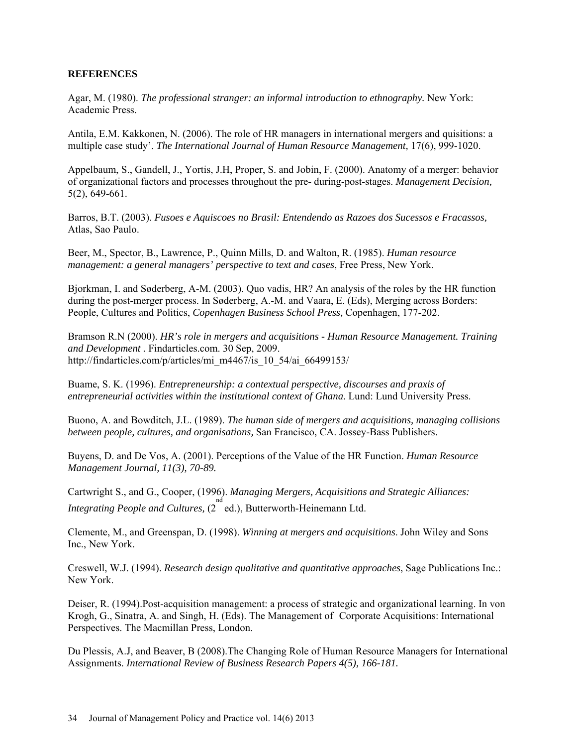# **REFERENCES**

Agar, M. (1980). *The professional stranger: an informal introduction to ethnography*. New York: Academic Press.

Antila, E.M. Kakkonen, N. (2006). The role of HR managers in international mergers and quisitions: a multiple case study'. *The International Journal of Human Resource Management,* 17(6), 999-1020.

Appelbaum, S., Gandell, J., Yortis, J.H, Proper, S. and Jobin, F. (2000). Anatomy of a merger: behavior of organizational factors and processes throughout the pre- during-post-stages. *Management Decision,*  5(2), 649-661.

Barros, B.T. (2003). *Fusoes e Aquiscoes no Brasil: Entendendo as Razoes dos Sucessos e Fracassos,* Atlas, Sao Paulo.

Beer, M., Spector, B., Lawrence, P., Quinn Mills, D. and Walton, R. (1985). *Human resource management: a general managers' perspective to text and cases*, Free Press, New York.

Bjorkman, I. and Søderberg, A-M. (2003). Quo vadis, HR? An analysis of the roles by the HR function during the post-merger process. In Søderberg, A.-M. and Vaara, E. (Eds), Merging across Borders: People, Cultures and Politics, *Copenhagen Business School Press,* Copenhagen, 177-202.

Bramson R.N (2000). *HR's role in mergers and acquisitions - Human Resource Management. Training and Development .* Findarticles.com. 30 Sep, 2009. http://findarticles.com/p/articles/mi\_m4467/is\_10\_54/ai\_66499153/

Buame, S. K. (1996). *Entrepreneurship: a contextual perspective, discourses and praxis of entrepreneurial activities within the institutional context of Ghana*. Lund: Lund University Press.

Buono, A. and Bowditch, J.L. (1989). *The human side of mergers and acquisitions, managing collisions between people, cultures, and organisations,* San Francisco, CA. Jossey-Bass Publishers.

Buyens, D. and De Vos, A. (2001). Perceptions of the Value of the HR Function. *Human Resource Management Journal, 11(3), 70-89.*

Cartwright S., and G., Cooper, (1996). *Managing Mergers, Acquisitions and Strategic Alliances:*  Integrating People and Cultures, (2<sup>nd</sup> ed.), Butterworth-Heinemann Ltd.

Clemente, M., and Greenspan, D. (1998). *Winning at mergers and acquisitions*. John Wiley and Sons Inc., New York.

Creswell, W.J. (1994). *Research design qualitative and quantitative approaches*, Sage Publications Inc.: New York.

Deiser, R. (1994).Post-acquisition management: a process of strategic and organizational learning. In von Krogh, G., Sinatra, A. and Singh, H. (Eds). The Management of Corporate Acquisitions: International Perspectives. The Macmillan Press, London.

Du Plessis, A.J, and Beaver, B (2008).The Changing Role of Human Resource Managers for International Assignments. *International Review of Business Research Papers 4(5), 166-181.*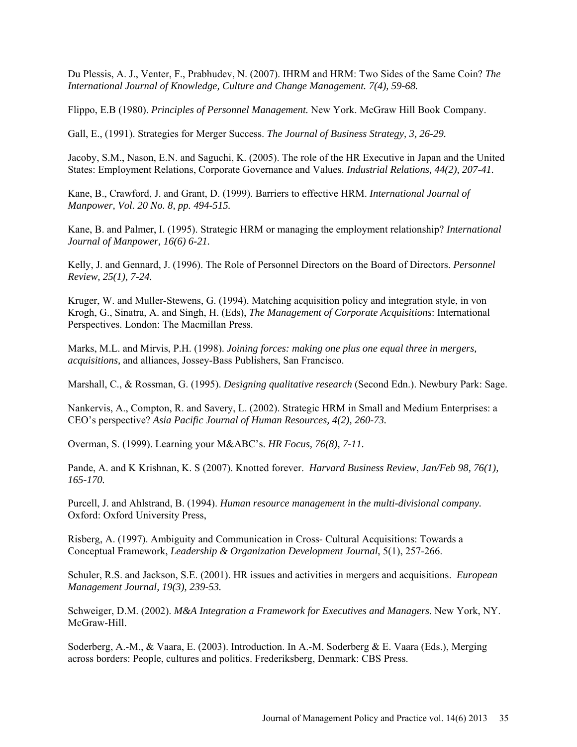Du Plessis, A. J., Venter, F., Prabhudev, N. (2007). IHRM and HRM: Two Sides of the Same Coin? *The International Journal of Knowledge, Culture and Change Management. 7(4), 59-68.* 

Flippo, E.B (1980). *Principles of Personnel Management.* New York. McGraw Hill Book Company.

Gall, E., (1991). Strategies for Merger Success. *The Journal of Business Strategy, 3, 26-29.*

Jacoby, S.M., Nason, E.N. and Saguchi, K. (2005). The role of the HR Executive in Japan and the United States: Employment Relations, Corporate Governance and Values. *Industrial Relations, 44(2), 207-41.*

Kane, B., Crawford, J. and Grant, D. (1999). Barriers to effective HRM. *International Journal of Manpower, Vol. 20 No. 8, pp. 494-515.*

Kane, B. and Palmer, I. (1995). Strategic HRM or managing the employment relationship? *International Journal of Manpower, 16(6) 6-21.*

Kelly, J. and Gennard, J. (1996). The Role of Personnel Directors on the Board of Directors. *Personnel Review, 25(1), 7-24.*

Kruger, W. and Muller-Stewens, G. (1994). Matching acquisition policy and integration style, in von Krogh, G., Sinatra, A. and Singh, H. (Eds), *The Management of Corporate Acquisitions*: International Perspectives. London: The Macmillan Press.

Marks, M.L. and Mirvis, P.H. (1998). *Joining forces: making one plus one equal three in mergers, acquisitions,* and alliances, Jossey-Bass Publishers, San Francisco.

Marshall, C., & Rossman, G. (1995). *Designing qualitative research* (Second Edn.). Newbury Park: Sage.

Nankervis, A., Compton, R. and Savery, L. (2002). Strategic HRM in Small and Medium Enterprises: a CEO's perspective? *Asia Pacific Journal of Human Resources, 4(2), 260-73.*

Overman, S. (1999). Learning your M&ABC's. *HR Focus, 76(8), 7-11.*

Pande, A. and K Krishnan, K. S (2007). Knotted forever. *Harvard Business Review*, *Jan/Feb 98, 76(1), 165-170.* 

Purcell, J. and Ahlstrand, B. (1994). *Human resource management in the multi-divisional company.* Oxford: Oxford University Press,

Risberg, A. (1997). Ambiguity and Communication in Cross- Cultural Acquisitions: Towards a Conceptual Framework, *Leadership & Organization Development Journal*, 5(1), 257-266.

Schuler, R.S. and Jackson, S.E. (2001). HR issues and activities in mergers and acquisitions. *European Management Journal, 19(3), 239-53.*

Schweiger, D.M. (2002). *M&A Integration a Framework for Executives and Managers*. New York, NY. McGraw-Hill.

Soderberg, A.-M., & Vaara, E. (2003). Introduction. In A.-M. Soderberg & E. Vaara (Eds.), Merging across borders: People, cultures and politics. Frederiksberg, Denmark: CBS Press.